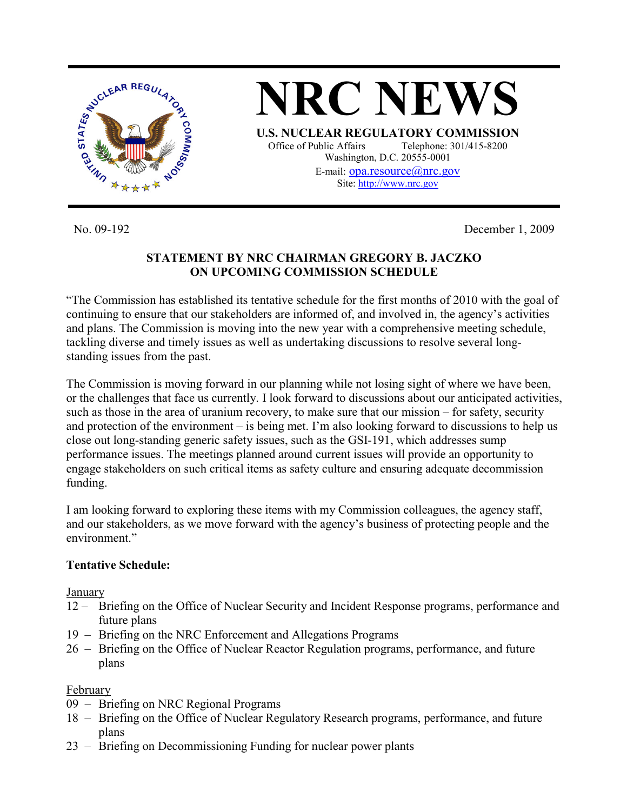

No. 09-192 December 1, 2009

# **STATEMENT BY NRC CHAIRMAN GREGORY B. JACZKO ON UPCOMING COMMISSION SCHEDULE**

"The Commission has established its tentative schedule for the first months of 2010 with the goal of continuing to ensure that our stakeholders are informed of, and involved in, the agency's activities and plans. The Commission is moving into the new year with a comprehensive meeting schedule, tackling diverse and timely issues as well as undertaking discussions to resolve several longstanding issues from the past.

The Commission is moving forward in our planning while not losing sight of where we have been, or the challenges that face us currently. I look forward to discussions about our anticipated activities, such as those in the area of uranium recovery, to make sure that our mission – for safety, security and protection of the environment – is being met. I'm also looking forward to discussions to help us close out long-standing generic safety issues, such as the GSI-191, which addresses sump performance issues. The meetings planned around current issues will provide an opportunity to engage stakeholders on such critical items as safety culture and ensuring adequate decommission funding.

I am looking forward to exploring these items with my Commission colleagues, the agency staff, and our stakeholders, as we move forward with the agency's business of protecting people and the environment."

# **Tentative Schedule:**

January

- 12 Briefing on the Office of Nuclear Security and Incident Response programs, performance and future plans
- 19 Briefing on the NRC Enforcement and Allegations Programs
- 26 Briefing on the Office of Nuclear Reactor Regulation programs, performance, and future plans

## February

- 09 Briefing on NRC Regional Programs
- 18 Briefing on the Office of Nuclear Regulatory Research programs, performance, and future plans
- 23 Briefing on Decommissioning Funding for nuclear power plants